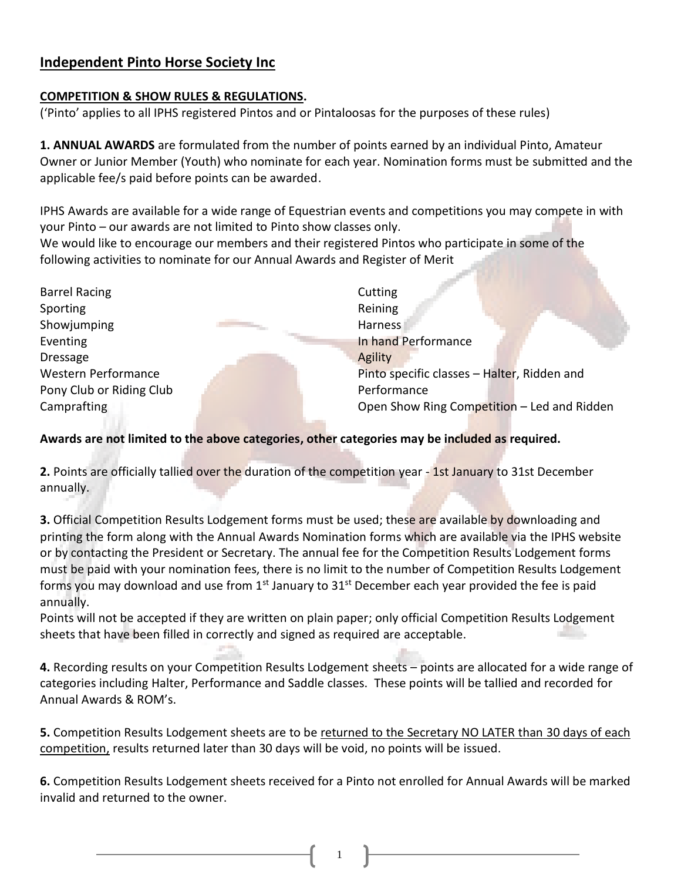# **Independent Pinto Horse Society Inc**

### **COMPETITION & SHOW RULES & REGULATIONS.**

('Pinto' applies to all IPHS registered Pintos and or Pintaloosas for the purposes of these rules)

**1. ANNUAL AWARDS** are formulated from the number of points earned by an individual Pinto, Amateur Owner or Junior Member (Youth) who nominate for each year. Nomination forms must be submitted and the applicable fee/s paid before points can be awarded.

IPHS Awards are available for a wide range of Equestrian events and competitions you may compete in with your Pinto – our awards are not limited to Pinto show classes only.

We would like to encourage our members and their registered Pintos who participate in some of the following activities to nominate for our Annual Awards and Register of Merit

Barrel Racing Sporting Showjumping Eventing Dressage Western Performance Pony Club or Riding Club Camprafting

**Cutting** Reining Harness<sub>1</sub> In hand Performance Agility Pinto specific classes – Halter, Ridden and Performance Open Show Ring Competition – Led and Ridden

## **Awards are not limited to the above categories, other categories may be included as required.**

**2.** Points are officially tallied over the duration of the competition year - 1st January to 31st December annually.

**3.** Official Competition Results Lodgement forms must be used; these are available by downloading and printing the form along with the Annual Awards Nomination forms which are available via the IPHS website or by contacting the President or Secretary. The annual fee for the Competition Results Lodgement forms must be paid with your nomination fees, there is no limit to the number of Competition Results Lodgement forms you may download and use from  $1<sup>st</sup>$  January to  $31<sup>st</sup>$  December each year provided the fee is paid annually.

Points will not be accepted if they are written on plain paper; only official Competition Results Lodgement sheets that have been filled in correctly and signed as required are acceptable.

**4.** Recording results on your Competition Results Lodgement sheets – points are allocated for a wide range of categories including Halter, Performance and Saddle classes. These points will be tallied and recorded for Annual Awards & ROM's.

**5.** Competition Results Lodgement sheets are to be returned to the Secretary NO LATER than 30 days of each competition, results returned later than 30 days will be void, no points will be issued.

**6.** Competition Results Lodgement sheets received for a Pinto not enrolled for Annual Awards will be marked invalid and returned to the owner.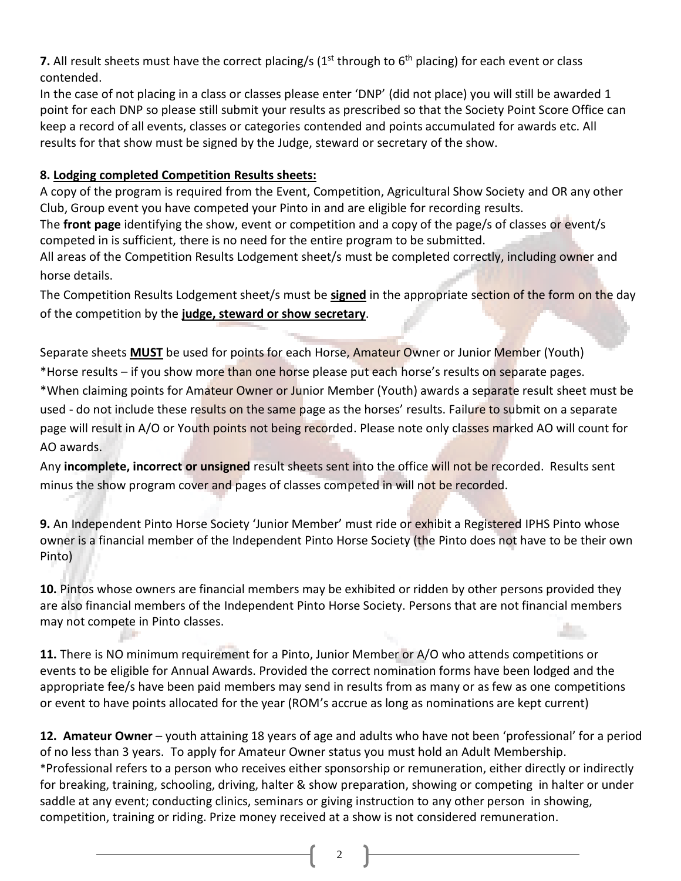**7.** All result sheets must have the correct placing/s  $(1<sup>st</sup>$  through to  $6<sup>th</sup>$  placing) for each event or class contended.

In the case of not placing in a class or classes please enter 'DNP' (did not place) you will still be awarded 1 point for each DNP so please still submit your results as prescribed so that the Society Point Score Office can keep a record of all events, classes or categories contended and points accumulated for awards etc. All results for that show must be signed by the Judge, steward or secretary of the show.

#### **8. Lodging completed Competition Results sheets:**

A copy of the program is required from the Event, Competition, Agricultural Show Society and OR any other Club, Group event you have competed your Pinto in and are eligible for recording results.

The **front page** identifying the show, event or competition and a copy of the page/s of classes or event/s competed in is sufficient, there is no need for the entire program to be submitted.

All areas of the Competition Results Lodgement sheet/s must be completed correctly, including owner and horse details.

The Competition Results Lodgement sheet/s must be **signed** in the appropriate section of the form on the day of the competition by the **judge, steward or show secretary**.

Separate sheets **MUST** be used for points for each Horse, Amateur Owner or Junior Member (Youth) \*Horse results – if you show more than one horse please put each horse's results on separate pages. \*When claiming points for Amateur Owner or Junior Member (Youth) awards a separate result sheet must be used - do not include these results on the same page as the horses' results. Failure to submit on a separate page will result in A/O or Youth points not being recorded. Please note only classes marked AO will count for AO awards.

Any **incomplete, incorrect or unsigned** result sheets sent into the office will not be recorded. Results sent minus the show program cover and pages of classes competed in will not be recorded.

**9.** An Independent Pinto Horse Society 'Junior Member' must ride or exhibit a Registered IPHS Pinto whose owner is a financial member of the Independent Pinto Horse Society (the Pinto does not have to be their own Pinto)

**10.** Pintos whose owners are financial members may be exhibited or ridden by other persons provided they are also financial members of the Independent Pinto Horse Society. Persons that are not financial members may not compete in Pinto classes.

**11.** There is NO minimum requirement for a Pinto, Junior Member or A/O who attends competitions or events to be eligible for Annual Awards. Provided the correct nomination forms have been lodged and the appropriate fee/s have been paid members may send in results from as many or as few as one competitions or event to have points allocated for the year (ROM's accrue as long as nominations are kept current)

**12. Amateur Owner** – youth attaining 18 years of age and adults who have not been 'professional' for a period of no less than 3 years. To apply for Amateur Owner status you must hold an Adult Membership. \*Professional refers to a person who receives either sponsorship or remuneration, either directly or indirectly for breaking, training, schooling, driving, halter & show preparation, showing or competing in halter or under saddle at any event; conducting clinics, seminars or giving instruction to any other person in showing, competition, training or riding. Prize money received at a show is not considered remuneration.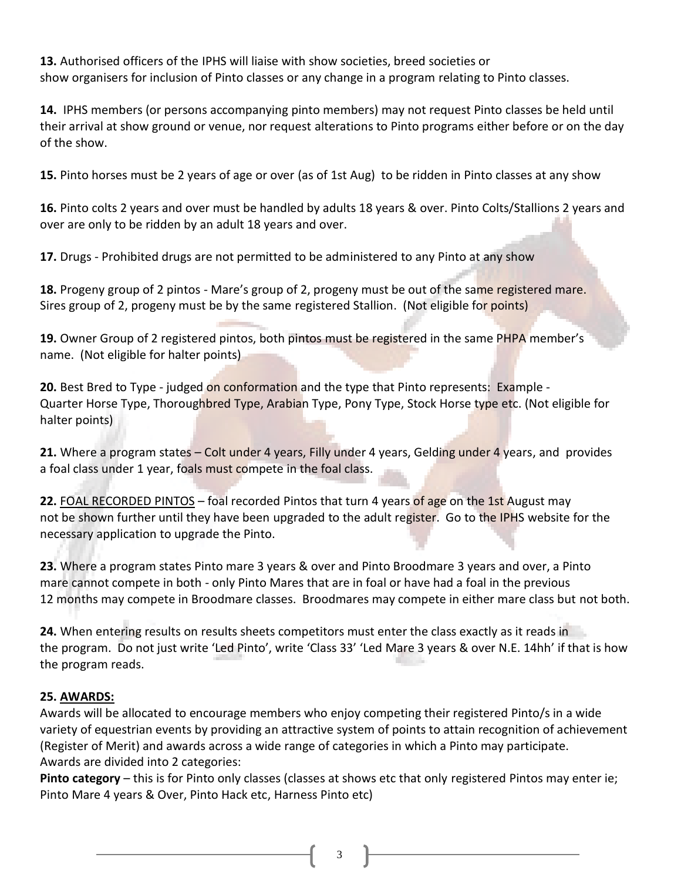**13.** Authorised officers of the IPHS will liaise with show societies, breed societies or show organisers for inclusion of Pinto classes or any change in a program relating to Pinto classes.

**14.** IPHS members (or persons accompanying pinto members) may not request Pinto classes be held until their arrival at show ground or venue, nor request alterations to Pinto programs either before or on the day of the show.

**15.** Pinto horses must be 2 years of age or over (as of 1st Aug) to be ridden in Pinto classes at any show

**16.** Pinto colts 2 years and over must be handled by adults 18 years & over. Pinto Colts/Stallions 2 years and over are only to be ridden by an adult 18 years and over.

**17.** Drugs - Prohibited drugs are not permitted to be administered to any Pinto at any show

**18.** Progeny group of 2 pintos - Mare's group of 2, progeny must be out of the same registered mare. Sires group of 2, progeny must be by the same registered Stallion. (Not eligible for points)

19. Owner Group of 2 registered pintos, both pintos must be registered in the same PHPA member's name. (Not eligible for halter points)

**20.** Best Bred to Type - judged on conformation and the type that Pinto represents: Example -Quarter Horse Type, Thoroughbred Type, Arabian Type, Pony Type, Stock Horse type etc. (Not eligible for halter points)

**21.** Where a program states – Colt under 4 years, Filly under 4 years, Gelding under 4 years, and provides a foal class under 1 year, foals must compete in the foal class.

**22.** FOAL RECORDED PINTOS – foal recorded Pintos that turn 4 years of age on the 1st August may not be shown further until they have been upgraded to the adult register. Go to the IPHS website for the necessary application to upgrade the Pinto.

**23.** Where a program states Pinto mare 3 years & over and Pinto Broodmare 3 years and over, a Pinto mare cannot compete in both - only Pinto Mares that are in foal or have had a foal in the previous 12 months may compete in Broodmare classes. Broodmares may compete in either mare class but not both.

**24.** When entering results on results sheets competitors must enter the class exactly as it reads in the program. Do not just write 'Led Pinto', write 'Class 33' 'Led Mare 3 years & over N.E. 14hh' if that is how the program reads.

#### **25. AWARDS:**

Awards will be allocated to encourage members who enjoy competing their registered Pinto/s in a wide variety of equestrian events by providing an attractive system of points to attain recognition of achievement (Register of Merit) and awards across a wide range of categories in which a Pinto may participate. Awards are divided into 2 categories:

**Pinto category** – this is for Pinto only classes (classes at shows etc that only registered Pintos may enter ie; Pinto Mare 4 years & Over, Pinto Hack etc, Harness Pinto etc)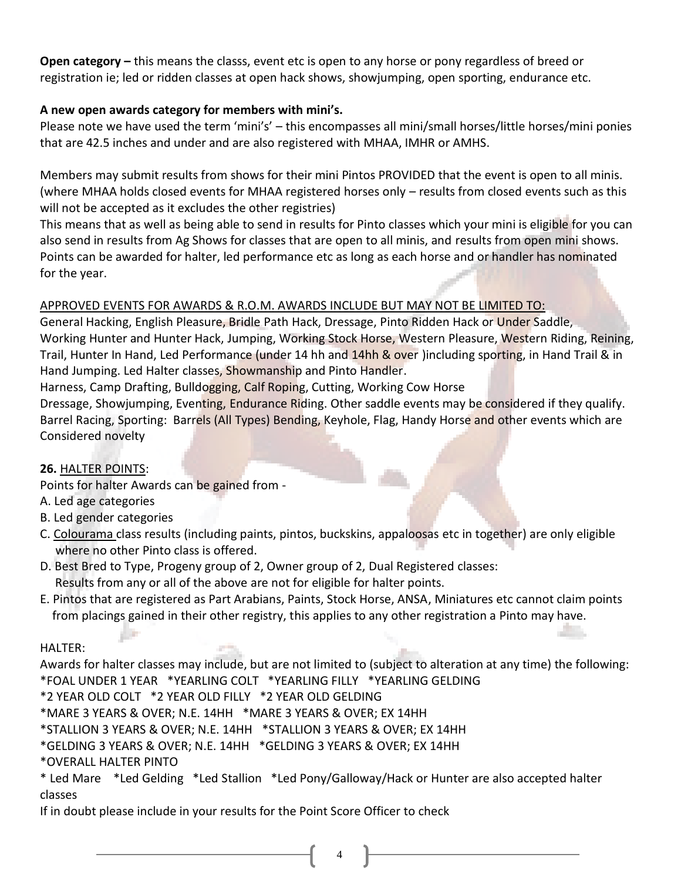**Open category –** this means the classs, event etc is open to any horse or pony regardless of breed or registration ie; led or ridden classes at open hack shows, showjumping, open sporting, endurance etc.

### **A new open awards category for members with mini's.**

Please note we have used the term 'mini's' – this encompasses all mini/small horses/little horses/mini ponies that are 42.5 inches and under and are also registered with MHAA, IMHR or AMHS.

Members may submit results from shows for their mini Pintos PROVIDED that the event is open to all minis. (where MHAA holds closed events for MHAA registered horses only – results from closed events such as this will not be accepted as it excludes the other registries)

This means that as well as being able to send in results for Pinto classes which your mini is eligible for you can also send in results from Ag Shows for classes that are open to all minis, and results from open mini shows. Points can be awarded for halter, led performance etc as long as each horse and or handler has nominated for the year.

## APPROVED EVENTS FOR AWARDS & R.O.M. AWARDS INCLUDE BUT MAY NOT BE LIMITED TO:

General Hacking, English Pleasure, Bridle Path Hack, Dressage, Pinto Ridden Hack or Under Saddle, Working Hunter and Hunter Hack, Jumping, Working Stock Horse, Western Pleasure, Western Riding, Reining, Trail, Hunter In Hand, Led Performance (under 14 hh and 14hh & over )including sporting, in Hand Trail & in Hand Jumping. Led Halter classes, Showmanship and Pinto Handler.

Harness, Camp Drafting, Bulldogging, Calf Roping, Cutting, Working Cow Horse

Dressage, Showjumping, Eventing, Endurance Riding. Other saddle events may be considered if they qualify. Barrel Racing, Sporting: Barrels (All Types) Bending, Keyhole, Flag, Handy Horse and other events which are Considered novelty

#### **26.** HALTER POINTS:

Points for halter Awards can be gained from -

- A. Led age categories
- B. Led gender categories
- C. Colourama class results (including paints, pintos, buckskins, appaloosas etc in together) are only eligible where no other Pinto class is offered.
- D. Best Bred to Type, Progeny group of 2, Owner group of 2, Dual Registered classes: Results from any or all of the above are not for eligible for halter points.
- E. Pintos that are registered as Part Arabians, Paints, Stock Horse, ANSA, Miniatures etc cannot claim points from placings gained in their other registry, this applies to any other registration a Pinto may have.

HALTER:

Awards for halter classes may include, but are not limited to (subject to alteration at any time) the following: \*FOAL UNDER 1 YEAR \*YEARLING COLT \*YEARLING FILLY \*YEARLING GELDING

\*2 YEAR OLD COLT \*2 YEAR OLD FILLY \*2 YEAR OLD GELDING

\*MARE 3 YEARS & OVER; N.E. 14HH \*MARE 3 YEARS & OVER; EX 14HH

\*STALLION 3 YEARS & OVER; N.E. 14HH \*STALLION 3 YEARS & OVER; EX 14HH

\*GELDING 3 YEARS & OVER; N.E. 14HH \*GELDING 3 YEARS & OVER; EX 14HH

#### \*OVERALL HALTER PINTO

\* Led Mare \*Led Gelding \*Led Stallion \*Led Pony/Galloway/Hack or Hunter are also accepted halter classes

4

If in doubt please include in your results for the Point Score Officer to check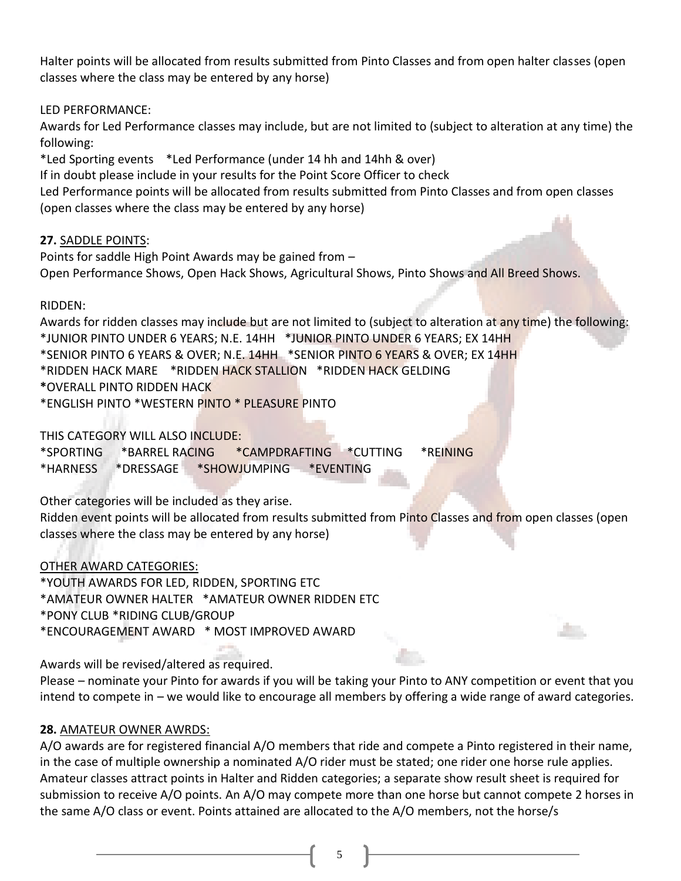Halter points will be allocated from results submitted from Pinto Classes and from open halter classes (open classes where the class may be entered by any horse)

LED PERFORMANCE:

Awards for Led Performance classes may include, but are not limited to (subject to alteration at any time) the following:

\*Led Sporting events \*Led Performance (under 14 hh and 14hh & over) If in doubt please include in your results for the Point Score Officer to check Led Performance points will be allocated from results submitted from Pinto Classes and from open classes (open classes where the class may be entered by any horse)

#### **27.** SADDLE POINTS:

Points for saddle High Point Awards may be gained from – Open Performance Shows, Open Hack Shows, Agricultural Shows, Pinto Shows and All Breed Shows.

#### RIDDEN:

Awards for ridden classes may include but are not limited to (subject to alteration at any time) the following: \*JUNIOR PINTO UNDER 6 YEARS; N.E. 14HH \*JUNIOR PINTO UNDER 6 YEARS; EX 14HH \*SENIOR PINTO 6 YEARS & OVER; N.E. 14HH \*SENIOR PINTO 6 YEARS & OVER; EX 14HH \*RIDDEN HACK MARE \*RIDDEN HACK STALLION \*RIDDEN HACK GELDING **\***OVERALL PINTO RIDDEN HACK \*ENGLISH PINTO \*WESTERN PINTO \* PLEASURE PINTO

THIS CATEGORY WILL ALSO INCLUDE:

\*SPORTING \*BARREL RACING \*CAMPDRAFTING \*CUTTING \*REINING \*HARNESS \*DRESSAGE \*SHOWJUMPING \*EVENTING

Other categories will be included as they arise.

Ridden event points will be allocated from results submitted from Pinto Classes and from open classes (open classes where the class may be entered by any horse)

#### OTHER AWARD CATEGORIES:

\*YOUTH AWARDS FOR LED, RIDDEN, SPORTING ETC \*AMATEUR OWNER HALTER \*AMATEUR OWNER RIDDEN ETC \*PONY CLUB \*RIDING CLUB/GROUP \*ENCOURAGEMENT AWARD \* MOST IMPROVED AWARD

Awards will be revised/altered as required.

Please – nominate your Pinto for awards if you will be taking your Pinto to ANY competition or event that you intend to compete in – we would like to encourage all members by offering a wide range of award categories.

#### **28.** AMATEUR OWNER AWRDS:

A/O awards are for registered financial A/O members that ride and compete a Pinto registered in their name, in the case of multiple ownership a nominated A/O rider must be stated; one rider one horse rule applies. Amateur classes attract points in Halter and Ridden categories; a separate show result sheet is required for submission to receive A/O points. An A/O may compete more than one horse but cannot compete 2 horses in the same A/O class or event. Points attained are allocated to the A/O members, not the horse/s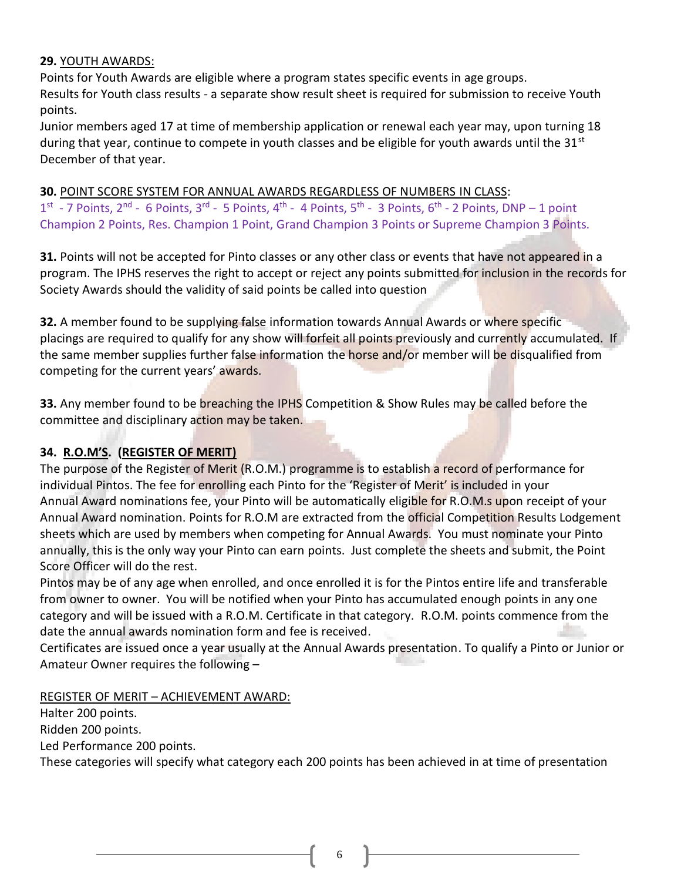#### **29.** YOUTH AWARDS:

Points for Youth Awards are eligible where a program states specific events in age groups. Results for Youth class results - a separate show result sheet is required for submission to receive Youth points.

Junior members aged 17 at time of membership application or renewal each year may, upon turning 18 during that year, continue to compete in youth classes and be eligible for youth awards until the  $31^{st}$ December of that year.

## **30.** POINT SCORE SYSTEM FOR ANNUAL AWARDS REGARDLESS OF NUMBERS IN CLASS:

 $1^{\text{st}}$  - 7 Points, 2<sup>nd</sup> - 6 Points, 3<sup>rd</sup> - 5 Points, 4<sup>th</sup> - 4 Points, 5<sup>th</sup> - 3 Points, 6<sup>th</sup> - 2 Points, DNP – 1 point Champion 2 Points, Res. Champion 1 Point, Grand Champion 3 Points or Supreme Champion 3 Points.

**31.** Points will not be accepted for Pinto classes or any other class or events that have not appeared in a program. The IPHS reserves the right to accept or reject any points submitted for inclusion in the records for Society Awards should the validity of said points be called into question

**32.** A member found to be supplying false information towards Annual Awards or where specific placings are required to qualify for any show will forfeit all points previously and currently accumulated. If the same member supplies further false information the horse and/or member will be disqualified from competing for the current years' awards.

**33.** Any member found to be breaching the IPHS Competition & Show Rules may be called before the committee and disciplinary action may be taken.

# **34. R.O.M'S. (REGISTER OF MERIT)**

The purpose of the Register of Merit (R.O.M.) programme is to establish a record of performance for individual Pintos. The fee for enrolling each Pinto for the 'Register of Merit' is included in your Annual Award nominations fee, your Pinto will be automatically eligible for R.O.M.s upon receipt of your Annual Award nomination. Points for R.O.M are extracted from the official Competition Results Lodgement sheets which are used by members when competing for Annual Awards. You must nominate your Pinto annually, this is the only way your Pinto can earn points. Just complete the sheets and submit, the Point Score Officer will do the rest.

Pintos may be of any age when enrolled, and once enrolled it is for the Pintos entire life and transferable from owner to owner. You will be notified when your Pinto has accumulated enough points in any one category and will be issued with a R.O.M. Certificate in that category. R.O.M. points commence from the date the annual awards nomination form and fee is received.

Certificates are issued once a year usually at the Annual Awards presentation. To qualify a Pinto or Junior or Amateur Owner requires the following –

REGISTER OF MERIT – ACHIEVEMENT AWARD:

Halter 200 points. Ridden 200 points. Led Performance 200 points.

These categories will specify what category each 200 points has been achieved in at time of presentation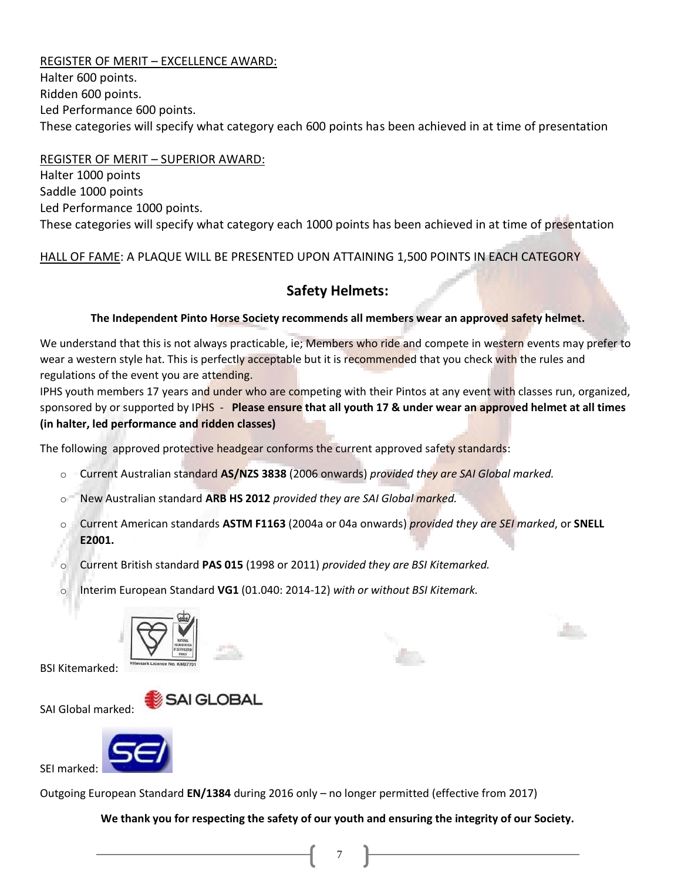REGISTER OF MERIT – EXCELLENCE AWARD: Halter 600 points. Ridden 600 points. Led Performance 600 points. These categories will specify what category each 600 points has been achieved in at time of presentation

REGISTER OF MERIT – SUPERIOR AWARD: Halter 1000 points Saddle 1000 points Led Performance 1000 points. These categories will specify what category each 1000 points has been achieved in at time of presentation

HALL OF FAME: A PLAQUE WILL BE PRESENTED UPON ATTAINING 1,500 POINTS IN EACH CATEGORY

## **Safety Helmets:**

#### **The Independent Pinto Horse Society recommends all members wear an approved safety helmet.**

We understand that this is not always practicable, ie; Members who ride and compete in western events may prefer to wear a western style hat. This is perfectly acceptable but it is recommended that you check with the rules and regulations of the event you are attending.

IPHS youth members 17 years and under who are competing with their Pintos at any event with classes run, organized, sponsored by or supported by IPHS - **Please ensure that all youth 17 & under wear an approved helmet at all times (in halter, led performance and ridden classes)**

The following approved protective headgear conforms the current approved safety standards:

- o Current Australian standard **AS/NZS 3838** (2006 onwards) *provided they are SAI Global marked.*
- o New Australian standard **ARB HS 2012** *provided they are SAI Global marked.*
- o Current American standards **ASTM F1163** (2004a or 04a onwards) *provided they are SEI marked*, or **SNELL E2001.**

o Current British standard **PAS 015** (1998 or 2011) *provided they are BSI Kitemarked.*

o Interim European Standard **VG1** (01.040: 2014-12) *with or without BSI Kitemark.*



**SAI GLOBAL** 

BSI Kitemarked:

SAI Global marked:



SEI marked:

Outgoing European Standard **EN/1384** during 2016 only – no longer permitted (effective from 2017)

**We thank you for respecting the safety of our youth and ensuring the integrity of our Society.**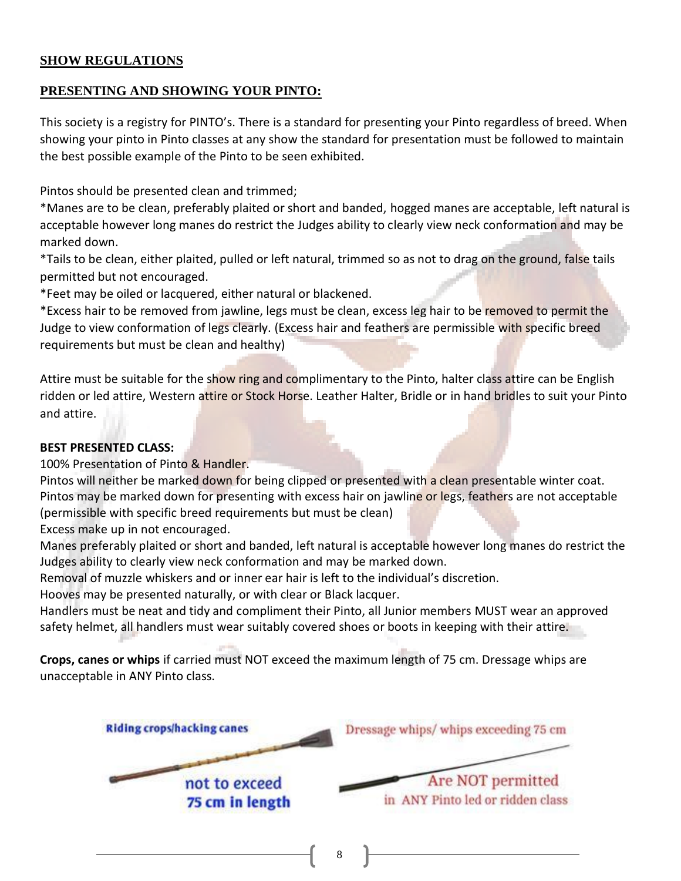### **SHOW REGULATIONS**

### **PRESENTING AND SHOWING YOUR PINTO:**

This society is a registry for PINTO's. There is a standard for presenting your Pinto regardless of breed. When showing your pinto in Pinto classes at any show the standard for presentation must be followed to maintain the best possible example of the Pinto to be seen exhibited.

Pintos should be presented clean and trimmed;

\*Manes are to be clean, preferably plaited or short and banded, hogged manes are acceptable, left natural is acceptable however long manes do restrict the Judges ability to clearly view neck conformation and may be marked down.

\*Tails to be clean, either plaited, pulled or left natural, trimmed so as not to drag on the ground, false tails permitted but not encouraged.

\*Feet may be oiled or lacquered, either natural or blackened.

\*Excess hair to be removed from jawline, legs must be clean, excess leg hair to be removed to permit the Judge to view conformation of legs clearly. (Excess hair and feathers are permissible with specific breed requirements but must be clean and healthy)

Attire must be suitable for the show ring and complimentary to the Pinto, halter class attire can be English ridden or led attire, Western attire or Stock Horse. Leather Halter, Bridle or in hand bridles to suit your Pinto and attire.

#### **BEST PRESENTED CLASS:**

100% Presentation of Pinto & Handler.

Pintos will neither be marked down for being clipped or presented with a clean presentable winter coat. Pintos may be marked down for presenting with excess hair on jawline or legs, feathers are not acceptable (permissible with specific breed requirements but must be clean)

Excess make up in not encouraged.

Manes preferably plaited or short and banded, left natural is acceptable however long manes do restrict the Judges ability to clearly view neck conformation and may be marked down.

Removal of muzzle whiskers and or inner ear hair is left to the individual's discretion.

Hooves may be presented naturally, or with clear or Black lacquer.

Handlers must be neat and tidy and compliment their Pinto, all Junior members MUST wear an approved safety helmet, all handlers must wear suitably covered shoes or boots in keeping with their attire.

**Crops, canes or whips** if carried must NOT exceed the maximum length of 75 cm. Dressage whips are unacceptable in ANY Pinto class.

| Riding crops/hacking canes       | Dressage whips/ whips exceeding 75 cm                 |
|----------------------------------|-------------------------------------------------------|
| not to exceed<br>75 cm in length | Are NOT permitted<br>in ANY Pinto led or ridden class |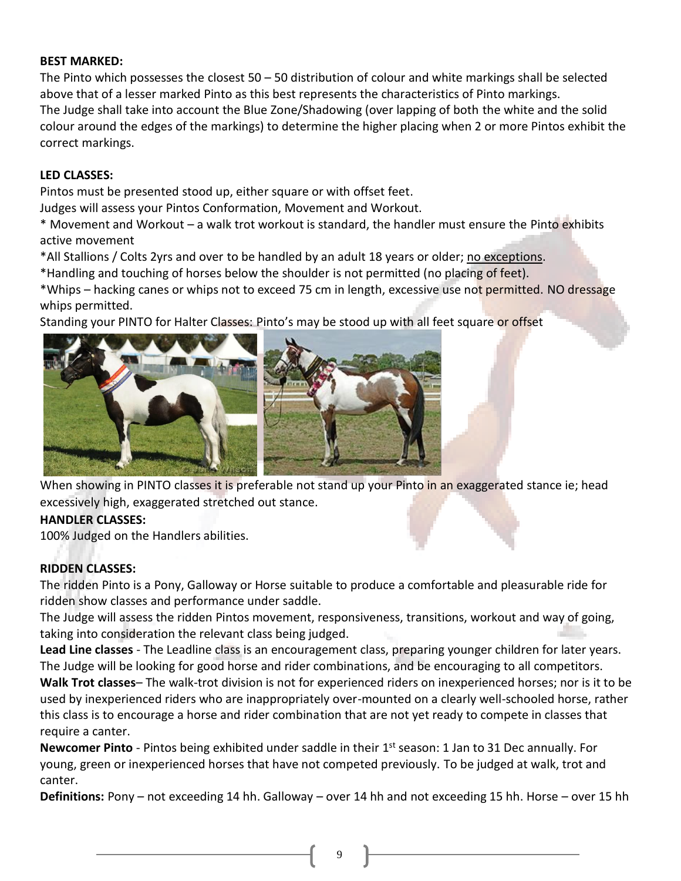### **BEST MARKED:**

The Pinto which possesses the closest  $50 - 50$  distribution of colour and white markings shall be selected above that of a lesser marked Pinto as this best represents the characteristics of Pinto markings. The Judge shall take into account the Blue Zone/Shadowing (over lapping of both the white and the solid colour around the edges of the markings) to determine the higher placing when 2 or more Pintos exhibit the correct markings.

### **LED CLASSES:**

Pintos must be presented stood up, either square or with offset feet.

Judges will assess your Pintos Conformation, Movement and Workout.

\* Movement and Workout – a walk trot workout is standard, the handler must ensure the Pinto exhibits active movement

\*All Stallions / Colts 2yrs and over to be handled by an adult 18 years or older; no exceptions.

\*Handling and touching of horses below the shoulder is not permitted (no placing of feet).

\*Whips – hacking canes or whips not to exceed 75 cm in length, excessive use not permitted. NO dressage whips permitted.

Standing your PINTO for Halter Classes: Pinto's may be stood up with all feet square or offset



When showing in PINTO classes it is preferable not stand up your Pinto in an exaggerated stance ie; head excessively high, exaggerated stretched out stance.

## **HANDLER CLASSES:**

100% Judged on the Handlers abilities.

# **RIDDEN CLASSES:**

The ridden Pinto is a Pony, Galloway or Horse suitable to produce a comfortable and pleasurable ride for ridden show classes and performance under saddle.

The Judge will assess the ridden Pintos movement, responsiveness, transitions, workout and way of going, taking into consideration the relevant class being judged.

**Lead Line classes** - The Leadline class is an encouragement class, preparing younger children for later years. The Judge will be looking for good horse and rider combinations, and be encouraging to all competitors.

**Walk Trot classes**– The walk-trot division is not for experienced riders on inexperienced horses; nor is it to be used by inexperienced riders who are inappropriately over-mounted on a clearly well-schooled horse, rather this class is to encourage a horse and rider combination that are not yet ready to compete in classes that require a canter.

**Newcomer Pinto** - Pintos being exhibited under saddle in their 1<sup>st</sup> season: 1 Jan to 31 Dec annually. For young, green or inexperienced horses that have not competed previously. To be judged at walk, trot and canter.

**Definitions:** Pony – not exceeding 14 hh. Galloway – over 14 hh and not exceeding 15 hh. Horse – over 15 hh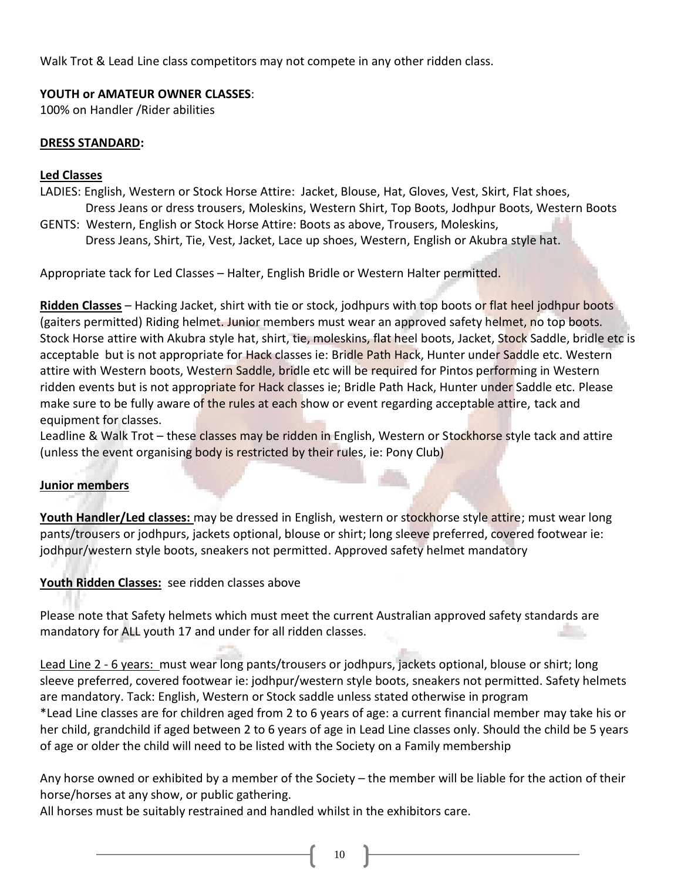Walk Trot & Lead Line class competitors may not compete in any other ridden class.

## **YOUTH or AMATEUR OWNER CLASSES**:

100% on Handler /Rider abilities

#### **DRESS STANDARD:**

#### **Led Classes**

- LADIES: English, Western or Stock Horse Attire: Jacket, Blouse, Hat, Gloves, Vest, Skirt, Flat shoes, Dress Jeans or dress trousers, Moleskins, Western Shirt, Top Boots, Jodhpur Boots, Western Boots
- GENTS: Western, English or Stock Horse Attire: Boots as above, Trousers, Moleskins, Dress Jeans, Shirt, Tie, Vest, Jacket, Lace up shoes, Western, English or Akubra style hat.

Appropriate tack for Led Classes – Halter, English Bridle or Western Halter permitted.

**Ridden Classes** – Hacking Jacket, shirt with tie or stock, jodhpurs with top boots or flat heel jodhpur boots (gaiters permitted) Riding helmet. Junior members must wear an approved safety helmet, no top boots. Stock Horse attire with Akubra style hat, shirt, tie, moleskins, flat heel boots, Jacket, Stock Saddle, bridle etc is acceptable but is not appropriate for Hack classes ie: Bridle Path Hack, Hunter under Saddle etc. Western attire with Western boots, Western Saddle, bridle etc will be required for Pintos performing in Western ridden events but is not appropriate for Hack classes ie; Bridle Path Hack, Hunter under Saddle etc. Please make sure to be fully aware of the rules at each show or event regarding acceptable attire, tack and equipment for classes.

Leadline & Walk Trot – these classes may be ridden in English, Western or Stockhorse style tack and attire (unless the event organising body is restricted by their rules, ie: Pony Club)

## **Junior members**

**Youth Handler/Led classes:** may be dressed in English, western or stockhorse style attire; must wear long pants/trousers or jodhpurs, jackets optional, blouse or shirt; long sleeve preferred, covered footwear ie: jodhpur/western style boots, sneakers not permitted. Approved safety helmet mandatory

# **Youth Ridden Classes:** see ridden classes above

Please note that Safety helmets which must meet the current Australian approved safety standards are mandatory for ALL youth 17 and under for all ridden classes.

Lead Line 2 - 6 years: must wear long pants/trousers or jodhpurs, jackets optional, blouse or shirt; long sleeve preferred, covered footwear ie: jodhpur/western style boots, sneakers not permitted. Safety helmets are mandatory. Tack: English, Western or Stock saddle unless stated otherwise in program \*Lead Line classes are for children aged from 2 to 6 years of age: a current financial member may take his or her child, grandchild if aged between 2 to 6 years of age in Lead Line classes only. Should the child be 5 years of age or older the child will need to be listed with the Society on a Family membership

Any horse owned or exhibited by a member of the Society – the member will be liable for the action of their horse/horses at any show, or public gathering.

All horses must be suitably restrained and handled whilst in the exhibitors care.